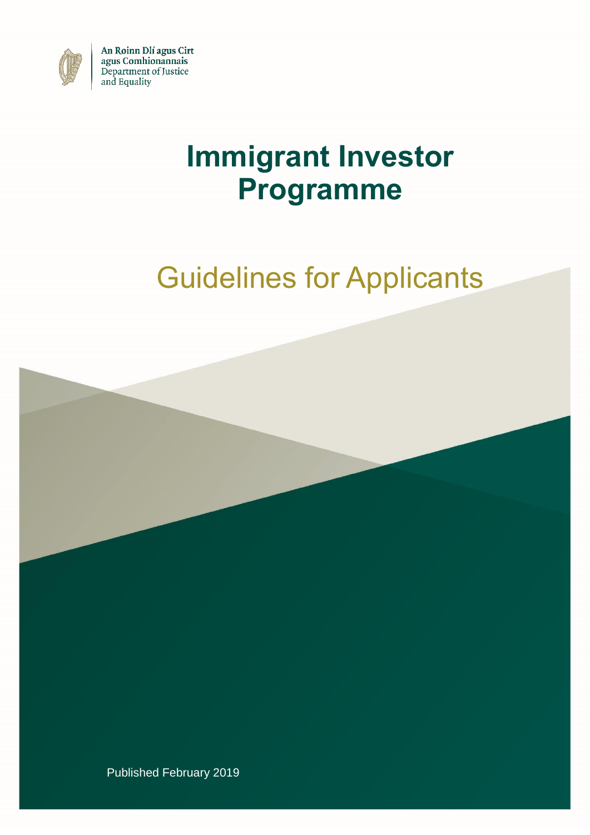

An Roinn Dlí agus Cirt agus Comhionannais Department of Justice and Equality

## **Immigrant Investor Programme**

# Guidelines for Applicants



Published February 2019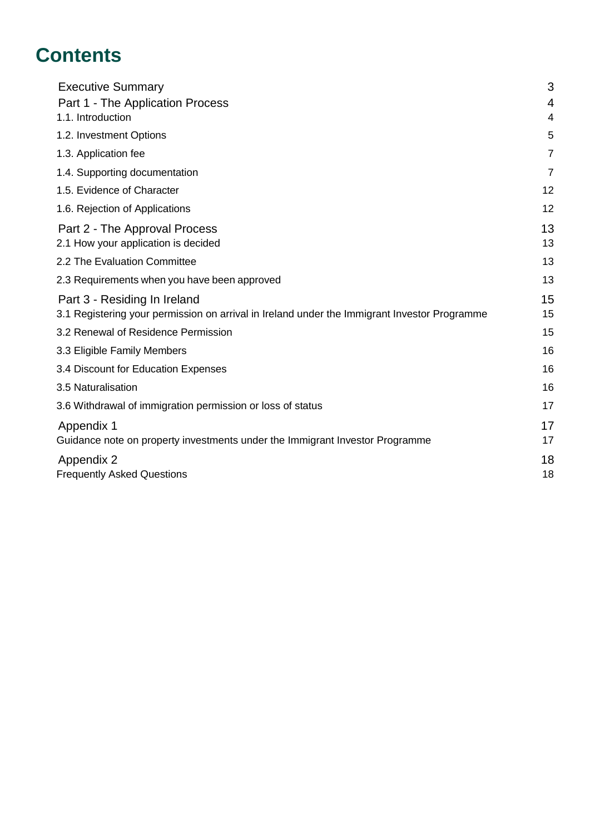## **Contents**

| <b>Executive Summary</b>                                                                     | 3              |
|----------------------------------------------------------------------------------------------|----------------|
| Part 1 - The Application Process                                                             |                |
| 1.1. Introduction                                                                            | 4              |
| 1.2. Investment Options                                                                      | 5              |
| 1.3. Application fee                                                                         | $\overline{7}$ |
| 1.4. Supporting documentation                                                                | $\overline{7}$ |
| 1.5. Evidence of Character                                                                   | 12             |
| 1.6. Rejection of Applications                                                               | 12             |
| Part 2 - The Approval Process                                                                | 13             |
| 2.1 How your application is decided                                                          | 13             |
| 2.2 The Evaluation Committee                                                                 | 13             |
| 2.3 Requirements when you have been approved                                                 | 13             |
| Part 3 - Residing In Ireland                                                                 | 15             |
| 3.1 Registering your permission on arrival in Ireland under the Immigrant Investor Programme | 15             |
| 3.2 Renewal of Residence Permission                                                          | 15             |
| 3.3 Eligible Family Members                                                                  | 16             |
| 3.4 Discount for Education Expenses                                                          | 16             |
| 3.5 Naturalisation                                                                           | 16             |
| 3.6 Withdrawal of immigration permission or loss of status                                   | 17             |
| Appendix 1                                                                                   | 17             |
| Guidance note on property investments under the Immigrant Investor Programme                 | 17             |
| Appendix 2                                                                                   | 18             |
| <b>Frequently Asked Questions</b>                                                            | 18             |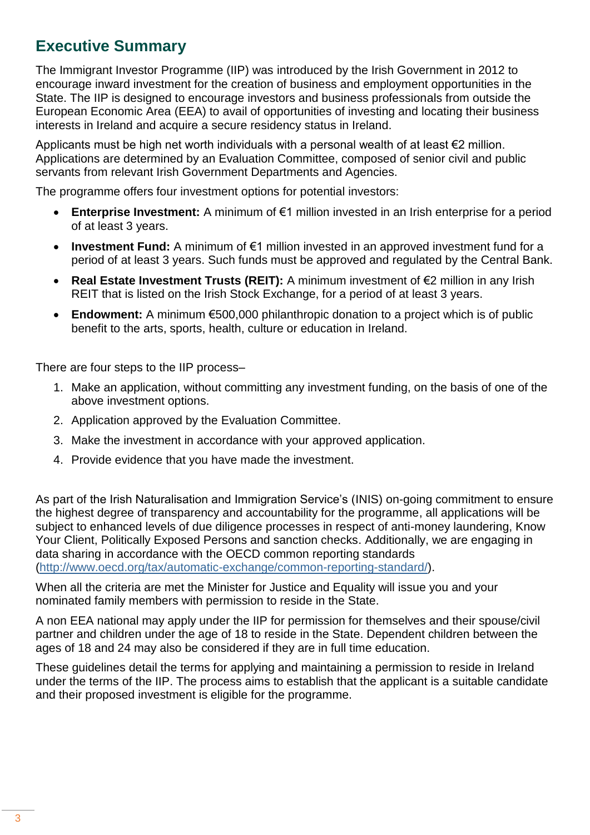### **Executive Summary**

The Immigrant Investor Programme (IIP) was introduced by the Irish Government in 2012 to encourage inward investment for the creation of business and employment opportunities in the State. The IIP is designed to encourage investors and business professionals from outside the European Economic Area (EEA) to avail of opportunities of investing and locating their business interests in Ireland and acquire a secure residency status in Ireland.

Applicants must be high net worth individuals with a personal wealth of at least €2 million. Applications are determined by an Evaluation Committee, composed of senior civil and public servants from relevant Irish Government Departments and Agencies.

The programme offers four investment options for potential investors:

- **Enterprise Investment:** A minimum of €1 million invested in an Irish enterprise for a period of at least 3 years.
- **Investment Fund:** A minimum of €1 million invested in an approved investment fund for a period of at least 3 years. Such funds must be approved and regulated by the Central Bank.
- **Real Estate Investment Trusts (REIT):** A minimum investment of €2 million in any Irish REIT that is listed on the Irish Stock Exchange, for a period of at least 3 years.
- **Endowment:** A minimum €500,000 philanthropic donation to a project which is of public benefit to the arts, sports, health, culture or education in Ireland.

There are four steps to the IIP process–

- 1. Make an application, without committing any investment funding, on the basis of one of the above investment options.
- 2. Application approved by the Evaluation Committee.
- 3. Make the investment in accordance with your approved application.
- 4. Provide evidence that you have made the investment.

As part of the Irish Naturalisation and Immigration Service's (INIS) on-going commitment to ensure the highest degree of transparency and accountability for the programme, all applications will be subject to enhanced levels of due diligence processes in respect of anti-money laundering, Know Your Client, Politically Exposed Persons and sanction checks. Additionally, we are engaging in data sharing in accordance with the OECD common reporting standards (http://www.oecd.org/tax/automatic-exchange/common-reporting-standard/).

When all the criteria are met the Minister for Justice and Equality will issue you and your nominated family members with permission to reside in the State.

A non EEA national may apply under the IIP for permission for themselves and their spouse/civil partner and children under the age of 18 to reside in the State. Dependent children between the ages of 18 and 24 may also be considered if they are in full time education.

These guidelines detail the terms for applying and maintaining a permission to reside in Ireland under the terms of the IIP. The process aims to establish that the applicant is a suitable candidate and their proposed investment is eligible for the programme.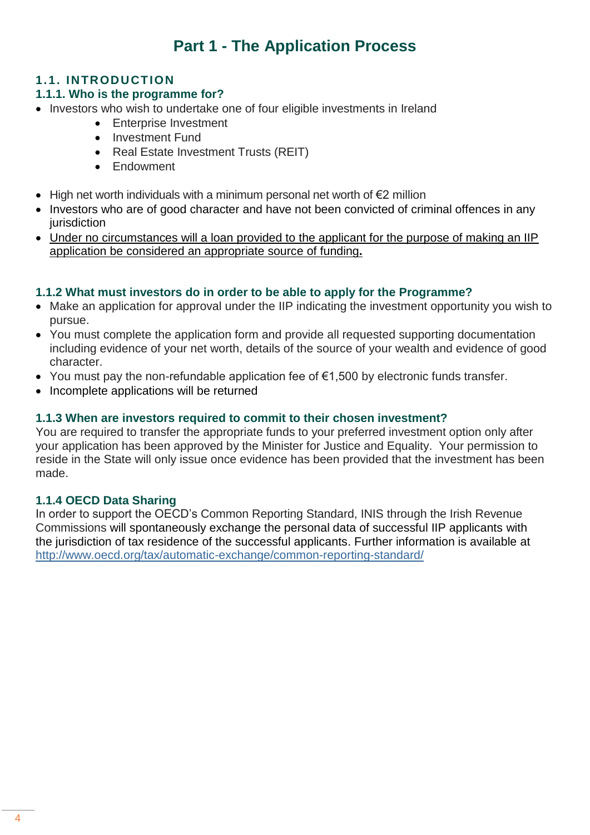## **Part 1 - The Application Process**

#### **1.1. INTRODUCTION**

#### **1.1.1. Who is the programme for?**

- Investors who wish to undertake one of four eligible investments in Ireland
	- **•** Enterprise Investment
	- Investment Fund
	- Real Estate Investment Trusts (REIT)
	- Endowment
- High net worth individuals with a minimum personal net worth of €2 million
- Investors who are of good character and have not been convicted of criminal offences in any iurisdiction
- Under no circumstances will a loan provided to the applicant for the purpose of making an IIP application be considered an appropriate source of funding**.**

#### **1.1.2 What must investors do in order to be able to apply for the Programme?**

- Make an application for approval under the IIP indicating the investment opportunity you wish to pursue.
- You must complete the application form and provide all requested supporting documentation including evidence of your net worth, details of the source of your wealth and evidence of good character.
- You must pay the non-refundable application fee of €1,500 by electronic funds transfer.
- Incomplete applications will be returned

#### **1.1.3 When are investors required to commit to their chosen investment?**

You are required to transfer the appropriate funds to your preferred investment option only after your application has been approved by the Minister for Justice and Equality. Your permission to reside in the State will only issue once evidence has been provided that the investment has been made.

#### **1.1.4 OECD Data Sharing**

In order to support the OECD's Common Reporting Standard, INIS through the Irish Revenue Commissions will spontaneously exchange the personal data of successful IIP applicants with the jurisdiction of tax residence of the successful applicants. Further information is available at http://www.oecd.org/tax/automatic-exchange/common-reporting-standard/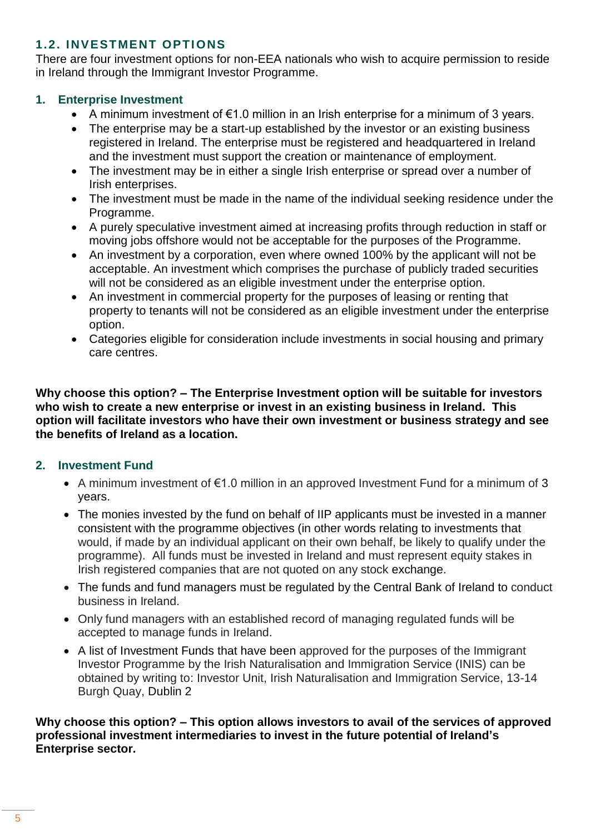#### **1.2. INVESTMENT OPTIONS**

There are four investment options for non-EEA nationals who wish to acquire permission to reside in Ireland through the Immigrant Investor Programme.

#### **1. Enterprise Investment**

- A minimum investment of €1.0 million in an Irish enterprise for a minimum of 3 years.
- The enterprise may be a start-up established by the investor or an existing business registered in Ireland. The enterprise must be registered and headquartered in Ireland and the investment must support the creation or maintenance of employment.
- The investment may be in either a single Irish enterprise or spread over a number of Irish enterprises.
- The investment must be made in the name of the individual seeking residence under the Programme.
- A purely speculative investment aimed at increasing profits through reduction in staff or moving jobs offshore would not be acceptable for the purposes of the Programme.
- An investment by a corporation, even where owned 100% by the applicant will not be acceptable. An investment which comprises the purchase of publicly traded securities will not be considered as an eligible investment under the enterprise option.
- An investment in commercial property for the purposes of leasing or renting that property to tenants will not be considered as an eligible investment under the enterprise option.
- Categories eligible for consideration include investments in social housing and primary care centres.

**Why choose this option? – The Enterprise Investment option will be suitable for investors who wish to create a new enterprise or invest in an existing business in Ireland. This option will facilitate investors who have their own investment or business strategy and see the benefits of Ireland as a location.**

#### **2. Investment Fund**

- A minimum investment of €1.0 million in an approved Investment Fund for a minimum of 3 years.
- The monies invested by the fund on behalf of IIP applicants must be invested in a manner consistent with the programme objectives (in other words relating to investments that would, if made by an individual applicant on their own behalf, be likely to qualify under the programme). All funds must be invested in Ireland and must represent equity stakes in Irish registered companies that are not quoted on any stock exchange.
- The funds and fund managers must be regulated by the Central Bank of Ireland to conduct business in Ireland.
- Only fund managers with an established record of managing regulated funds will be accepted to manage funds in Ireland.
- A list of Investment Funds that have been approved for the purposes of the Immigrant Investor Programme by the Irish Naturalisation and Immigration Service (INIS) can be obtained by writing to: Investor Unit, Irish Naturalisation and Immigration Service, 13-14 Burgh Quay, Dublin 2

#### **Why choose this option? – This option allows investors to avail of the services of approved professional investment intermediaries to invest in the future potential of Ireland's Enterprise sector.**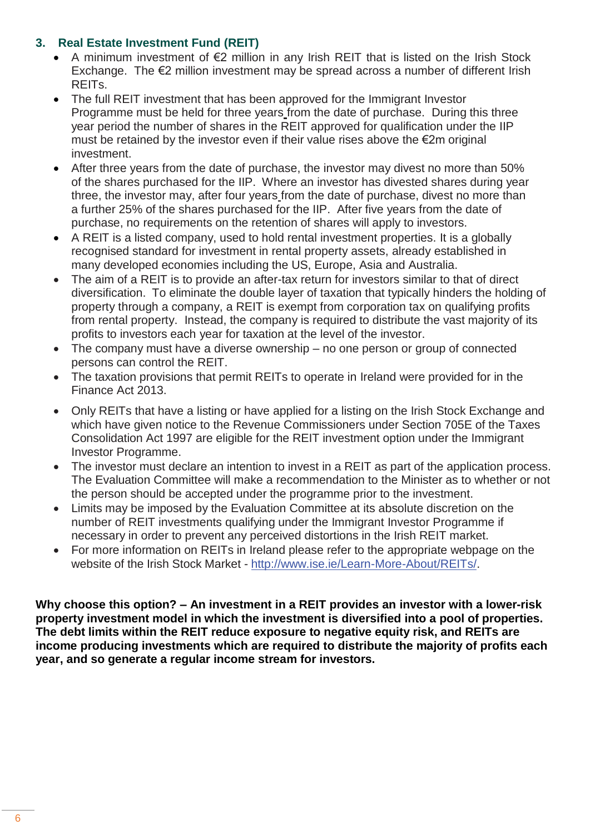#### **3. Real Estate Investment Fund (REIT)**

- A minimum investment of €2 million in any Irish REIT that is listed on the Irish Stock Exchange. The €2 million investment may be spread across a number of different Irish REITs.
- The full REIT investment that has been approved for the Immigrant Investor Programme must be held for three years from the date of purchase. During this three year period the number of shares in the REIT approved for qualification under the IIP must be retained by the investor even if their value rises above the €2m original investment.
- After three years from the date of purchase, the investor may divest no more than 50% of the shares purchased for the IIP. Where an investor has divested shares during year three, the investor may, after four years from the date of purchase, divest no more than a further 25% of the shares purchased for the IIP. After five years from the date of purchase, no requirements on the retention of shares will apply to investors.
- A REIT is a listed company, used to hold rental investment properties. It is a globally recognised standard for investment in rental property assets, already established in many developed economies including the US, Europe, Asia and Australia.
- The aim of a REIT is to provide an after-tax return for investors similar to that of direct diversification. To eliminate the double layer of taxation that typically hinders the holding of property through a company, a REIT is exempt from corporation tax on qualifying profits from rental property. Instead, the company is required to distribute the vast majority of its profits to investors each year for taxation at the level of the investor.
- The company must have a diverse ownership no one person or group of connected persons can control the REIT.
- The taxation provisions that permit REITs to operate in Ireland were provided for in the Finance Act 2013.
- Only REITs that have a listing or have applied for a listing on the Irish Stock Exchange and which have given notice to the Revenue Commissioners under Section 705E of the Taxes Consolidation Act 1997 are eligible for the REIT investment option under the Immigrant Investor Programme.
- The investor must declare an intention to invest in a REIT as part of the application process. The Evaluation Committee will make a recommendation to the Minister as to whether or not the person should be accepted under the programme prior to the investment.
- Limits may be imposed by the Evaluation Committee at its absolute discretion on the number of REIT investments qualifying under the Immigrant Investor Programme if necessary in order to prevent any perceived distortions in the Irish REIT market.
- For more information on REITs in Ireland please refer to the appropriate webpage on the website of the Irish Stock Market - http://www.ise.ie/Learn-More-About/REITs/.

**Why choose this option? – An investment in a REIT provides an investor with a lower-risk property investment model in which the investment is diversified into a pool of properties. The debt limits within the REIT reduce exposure to negative equity risk, and REITs are income producing investments which are required to distribute the majority of profits each year, and so generate a regular income stream for investors.**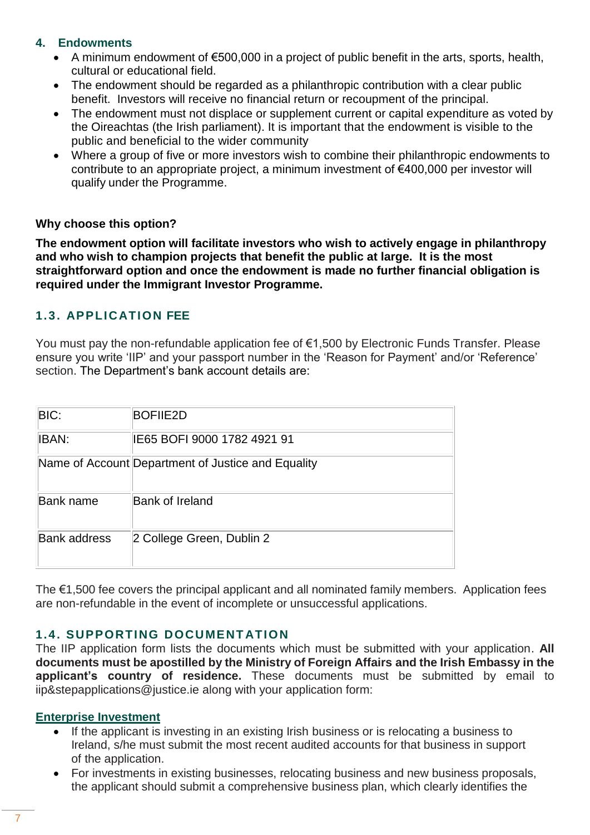#### **4. Endowments**

- A minimum endowment of €500,000 in a project of public benefit in the arts, sports, health, cultural or educational field.
- The endowment should be regarded as a philanthropic contribution with a clear public benefit. Investors will receive no financial return or recoupment of the principal.
- The endowment must not displace or supplement current or capital expenditure as voted by the Oireachtas (the Irish parliament). It is important that the endowment is visible to the public and beneficial to the wider community
- Where a group of five or more investors wish to combine their philanthropic endowments to contribute to an appropriate project, a minimum investment of €400,000 per investor will qualify under the Programme.

#### **Why choose this option?**

**The endowment option will facilitate investors who wish to actively engage in philanthropy and who wish to champion projects that benefit the public at large. It is the most straightforward option and once the endowment is made no further financial obligation is required under the Immigrant Investor Programme.**

#### **1.3. APPLICATION FEE**

You must pay the non-refundable application fee of €1,500 by Electronic Funds Transfer. Please ensure you write 'IIP' and your passport number in the 'Reason for Payment' and/or 'Reference' section. The Department's bank account details are:

| BIC:                | <b>BOFIIE2D</b>                                    |
|---------------------|----------------------------------------------------|
| <b>IBAN:</b>        | IE65 BOFI 9000 1782 4921 91                        |
|                     | Name of Account Department of Justice and Equality |
| <b>Bank name</b>    | <b>Bank of Ireland</b>                             |
| <b>Bank address</b> | 2 College Green, Dublin 2                          |

The  $€1,500$  fee covers the principal applicant and all nominated family members. Application fees are non-refundable in the event of incomplete or unsuccessful applications.

#### **1.4. SUPPORTING DOCUMENT ATION**

The IIP application form lists the documents which must be submitted with your application. **All documents must be apostilled by the Ministry of Foreign Affairs and the Irish Embassy in the applicant's country of residence.** These documents must be submitted by email to iip&stepapplications@justice.ie along with your application form:

#### **Enterprise Investment**

- If the applicant is investing in an existing Irish business or is relocating a business to Ireland, s/he must submit the most recent audited accounts for that business in support of the application.
- For investments in existing businesses, relocating business and new business proposals, the applicant should submit a comprehensive business plan, which clearly identifies the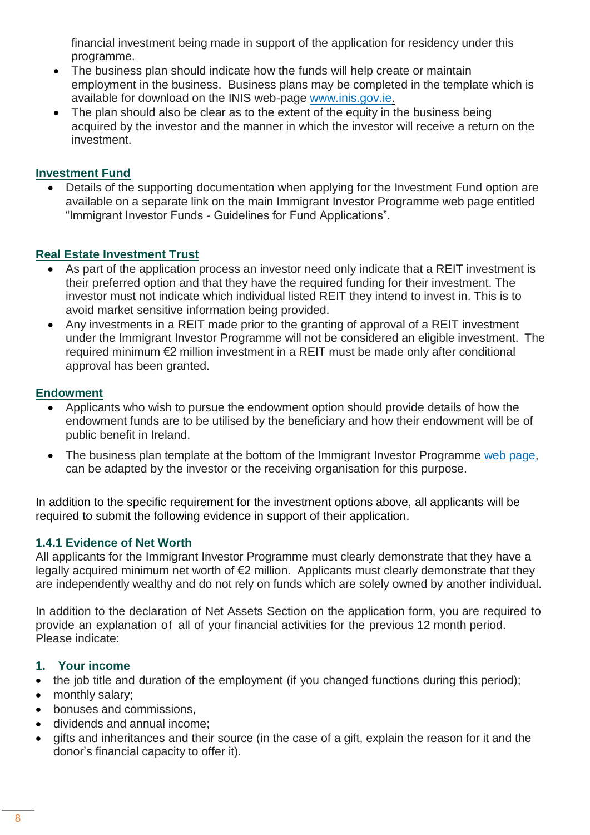financial investment being made in support of the application for residency under this programme.

- The business plan should indicate how the funds will help create or maintain employment in the business. Business plans may be completed in the template which is available for download on the INIS web-page www.inis.gov.ie.
- The plan should also be clear as to the extent of the equity in the business being acquired by the investor and the manner in which the investor will receive a return on the investment.

#### **Investment Fund**

• Details of the supporting documentation when applying for the Investment Fund option are available on a separate link on the main Immigrant Investor Programme web page entitled "Immigrant Investor Funds - Guidelines for Fund Applications".

#### **Real Estate Investment Trust**

- As part of the application process an investor need only indicate that a REIT investment is their preferred option and that they have the required funding for their investment. The investor must not indicate which individual listed REIT they intend to invest in. This is to avoid market sensitive information being provided.
- Any investments in a REIT made prior to the granting of approval of a REIT investment under the Immigrant Investor Programme will not be considered an eligible investment. The required minimum €2 million investment in a REIT must be made only after conditional approval has been granted.

#### **Endowment**

- Applicants who wish to pursue the endowment option should provide details of how the endowment funds are to be utilised by the beneficiary and how their endowment will be of public benefit in Ireland.
- The business plan template at the bottom of the Immigrant Investor Programme web page, can be adapted by the investor or the receiving organisation for this purpose.

In addition to the specific requirement for the investment options above, all applicants will be required to submit the following evidence in support of their application.

#### **1.4.1 Evidence of Net Worth**

All applicants for the Immigrant Investor Programme must clearly demonstrate that they have a legally acquired minimum net worth of €2 million. Applicants must clearly demonstrate that they are independently wealthy and do not rely on funds which are solely owned by another individual.

In addition to the declaration of Net Assets Section on the application form, you are required to provide an explanation of all of your financial activities for the previous 12 month period. Please indicate:

#### **1. Your income**

- the job title and duration of the employment (if you changed functions during this period);
- monthly salary;
- bonuses and commissions,
- dividends and annual income;
- gifts and inheritances and their source (in the case of a gift, explain the reason for it and the donor's financial capacity to offer it).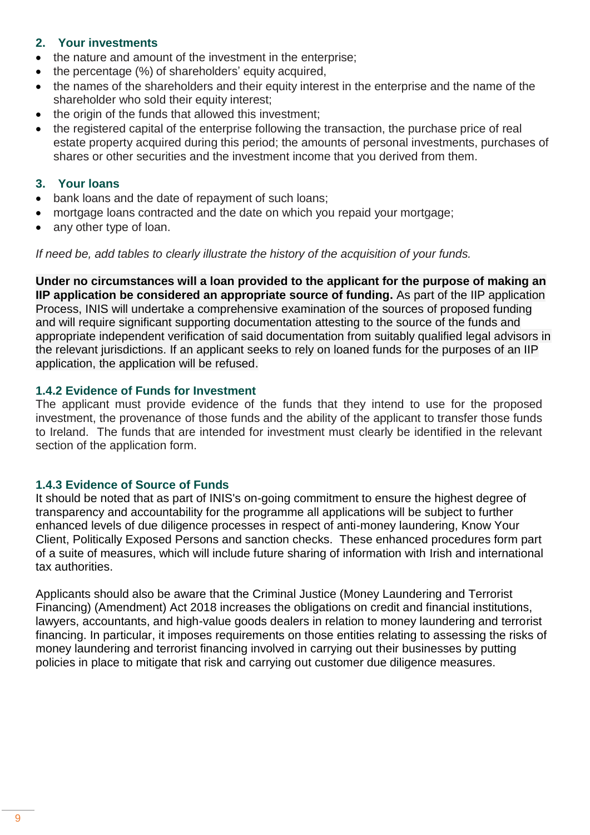#### **2. Your investments**

- the nature and amount of the investment in the enterprise;
- the percentage (%) of shareholders' equity acquired,
- the names of the shareholders and their equity interest in the enterprise and the name of the shareholder who sold their equity interest;
- the origin of the funds that allowed this investment:
- the registered capital of the enterprise following the transaction, the purchase price of real estate property acquired during this period; the amounts of personal investments, purchases of shares or other securities and the investment income that you derived from them.

#### **3. Your loans**

- bank loans and the date of repayment of such loans;
- mortgage loans contracted and the date on which you repaid your mortgage;
- any other type of loan.

*If need be, add tables to clearly illustrate the history of the acquisition of your funds.*

**Under no circumstances will a loan provided to the applicant for the purpose of making an IIP application be considered an appropriate source of funding.** As part of the IIP application Process, INIS will undertake a comprehensive examination of the sources of proposed funding and will require significant supporting documentation attesting to the source of the funds and appropriate independent verification of said documentation from suitably qualified legal advisors in the relevant jurisdictions. If an applicant seeks to rely on loaned funds for the purposes of an IIP application, the application will be refused.

#### **1.4.2 Evidence of Funds for Investment**

The applicant must provide evidence of the funds that they intend to use for the proposed investment, the provenance of those funds and the ability of the applicant to transfer those funds to Ireland. The funds that are intended for investment must clearly be identified in the relevant section of the application form.

#### **1.4.3 Evidence of Source of Funds**

It should be noted that as part of INIS's on-going commitment to ensure the highest degree of transparency and accountability for the programme all applications will be subject to further enhanced levels of due diligence processes in respect of anti-money laundering, Know Your Client, Politically Exposed Persons and sanction checks. These enhanced procedures form part of a suite of measures, which will include future sharing of information with Irish and international tax authorities.

Applicants should also be aware that the Criminal Justice (Money Laundering and Terrorist Financing) (Amendment) Act 2018 increases the obligations on credit and financial institutions, lawyers, accountants, and high-value goods dealers in relation to money laundering and terrorist financing. In particular, it imposes requirements on those entities relating to assessing the risks of money laundering and terrorist financing involved in carrying out their businesses by putting policies in place to mitigate that risk and carrying out customer due diligence measures.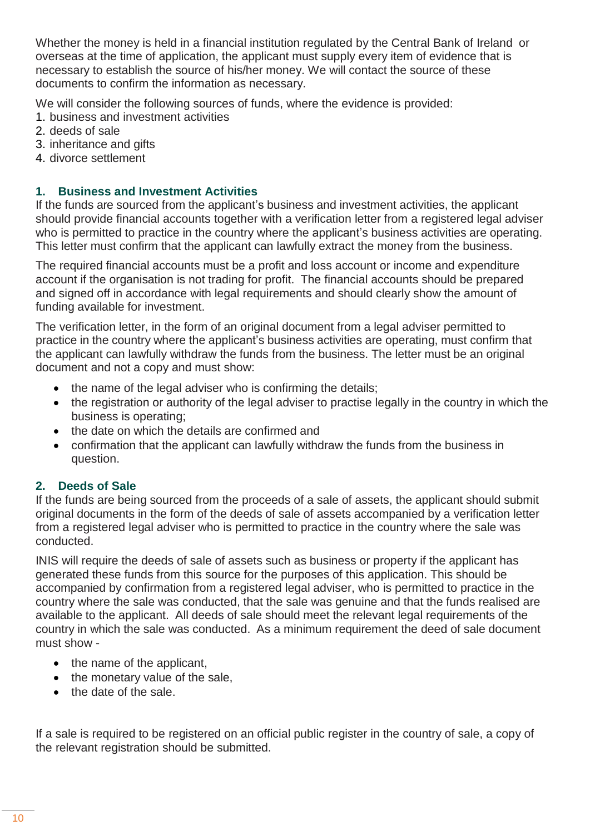Whether the money is held in a financial institution regulated by the Central Bank of Ireland or overseas at the time of application, the applicant must supply every item of evidence that is necessary to establish the source of his/her money. We will contact the source of these documents to confirm the information as necessary.

We will consider the following sources of funds, where the evidence is provided:

- 1. business and investment activities
- 2. deeds of sale
- 3. inheritance and gifts
- 4. divorce settlement

#### **1. Business and Investment Activities**

If the funds are sourced from the applicant's business and investment activities, the applicant should provide financial accounts together with a verification letter from a registered legal adviser who is permitted to practice in the country where the applicant's business activities are operating. This letter must confirm that the applicant can lawfully extract the money from the business.

The required financial accounts must be a profit and loss account or income and expenditure account if the organisation is not trading for profit. The financial accounts should be prepared and signed off in accordance with legal requirements and should clearly show the amount of funding available for investment.

The verification letter, in the form of an original document from a legal adviser permitted to practice in the country where the applicant's business activities are operating, must confirm that the applicant can lawfully withdraw the funds from the business. The letter must be an original document and not a copy and must show:

- the name of the legal adviser who is confirming the details;
- the registration or authority of the legal adviser to practise legally in the country in which the business is operating;
- the date on which the details are confirmed and
- confirmation that the applicant can lawfully withdraw the funds from the business in question.

#### **2. Deeds of Sale**

If the funds are being sourced from the proceeds of a sale of assets, the applicant should submit original documents in the form of the deeds of sale of assets accompanied by a verification letter from a registered legal adviser who is permitted to practice in the country where the sale was conducted.

INIS will require the deeds of sale of assets such as business or property if the applicant has generated these funds from this source for the purposes of this application. This should be accompanied by confirmation from a registered legal adviser, who is permitted to practice in the country where the sale was conducted, that the sale was genuine and that the funds realised are available to the applicant. All deeds of sale should meet the relevant legal requirements of the country in which the sale was conducted. As a minimum requirement the deed of sale document must show -

- $\bullet$  the name of the applicant,
- the monetary value of the sale,
- the date of the sale.

If a sale is required to be registered on an official public register in the country of sale, a copy of the relevant registration should be submitted.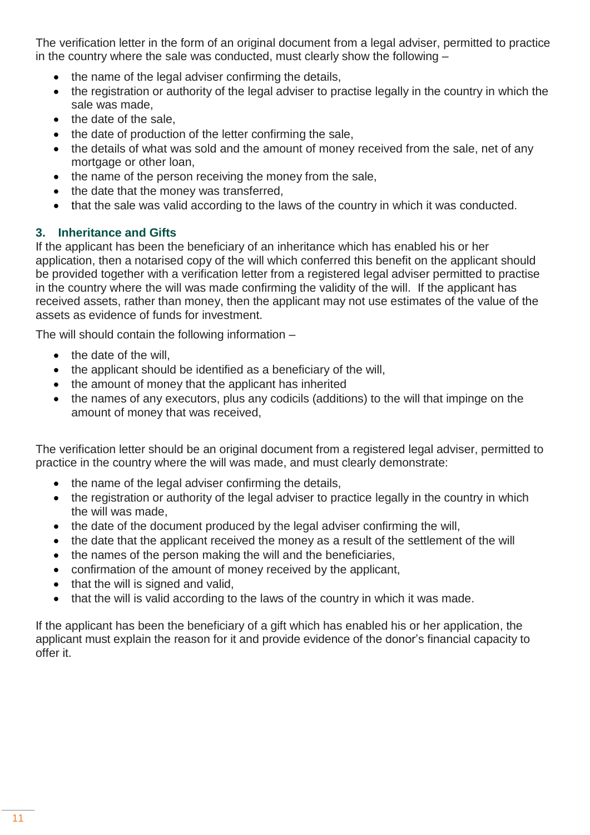The verification letter in the form of an original document from a legal adviser, permitted to practice in the country where the sale was conducted, must clearly show the following –

- $\bullet$  the name of the legal adviser confirming the details,
- the registration or authority of the legal adviser to practise legally in the country in which the sale was made,
- the date of the sale.
- the date of production of the letter confirming the sale,
- the details of what was sold and the amount of money received from the sale, net of any mortgage or other loan,
- the name of the person receiving the money from the sale,
- the date that the money was transferred,
- that the sale was valid according to the laws of the country in which it was conducted.

#### **3. Inheritance and Gifts**

If the applicant has been the beneficiary of an inheritance which has enabled his or her application, then a notarised copy of the will which conferred this benefit on the applicant should be provided together with a verification letter from a registered legal adviser permitted to practise in the country where the will was made confirming the validity of the will. If the applicant has received assets, rather than money, then the applicant may not use estimates of the value of the assets as evidence of funds for investment.

The will should contain the following information –

- $\bullet$  the date of the will.
- the applicant should be identified as a beneficiary of the will,
- the amount of money that the applicant has inherited
- the names of any executors, plus any codicils (additions) to the will that impinge on the amount of money that was received,

The verification letter should be an original document from a registered legal adviser, permitted to practice in the country where the will was made, and must clearly demonstrate:

- the name of the legal adviser confirming the details,
- the registration or authority of the legal adviser to practice legally in the country in which the will was made,
- the date of the document produced by the legal adviser confirming the will,
- the date that the applicant received the money as a result of the settlement of the will
- the names of the person making the will and the beneficiaries,
- confirmation of the amount of money received by the applicant,
- that the will is signed and valid.
- that the will is valid according to the laws of the country in which it was made.

If the applicant has been the beneficiary of a gift which has enabled his or her application, the applicant must explain the reason for it and provide evidence of the donor's financial capacity to offer it.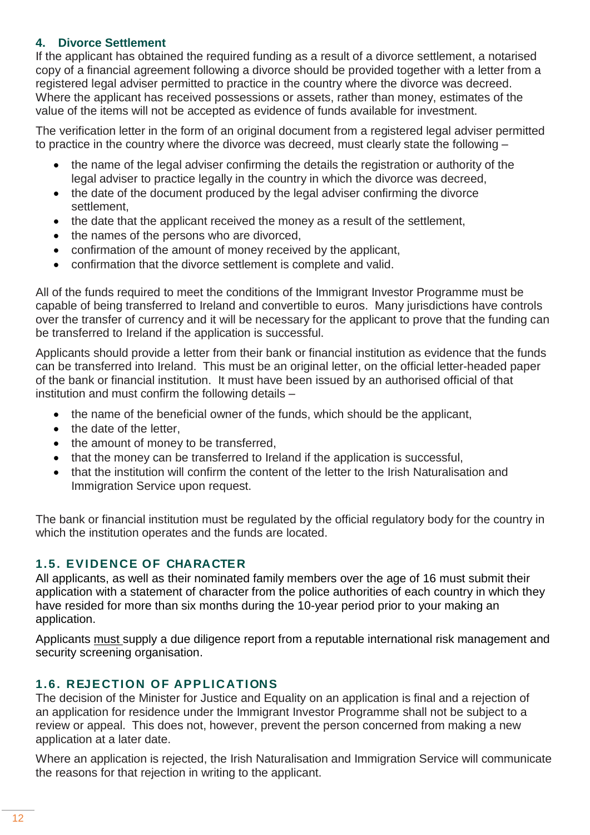#### **4. Divorce Settlement**

If the applicant has obtained the required funding as a result of a divorce settlement, a notarised copy of a financial agreement following a divorce should be provided together with a letter from a registered legal adviser permitted to practice in the country where the divorce was decreed. Where the applicant has received possessions or assets, rather than money, estimates of the value of the items will not be accepted as evidence of funds available for investment.

The verification letter in the form of an original document from a registered legal adviser permitted to practice in the country where the divorce was decreed, must clearly state the following –

- the name of the legal adviser confirming the details the registration or authority of the legal adviser to practice legally in the country in which the divorce was decreed,
- the date of the document produced by the legal adviser confirming the divorce settlement,
- the date that the applicant received the money as a result of the settlement,
- the names of the persons who are divorced,
- confirmation of the amount of money received by the applicant,
- confirmation that the divorce settlement is complete and valid.

All of the funds required to meet the conditions of the Immigrant Investor Programme must be capable of being transferred to Ireland and convertible to euros. Many jurisdictions have controls over the transfer of currency and it will be necessary for the applicant to prove that the funding can be transferred to Ireland if the application is successful.

Applicants should provide a letter from their bank or financial institution as evidence that the funds can be transferred into Ireland. This must be an original letter, on the official letter-headed paper of the bank or financial institution. It must have been issued by an authorised official of that institution and must confirm the following details –

- the name of the beneficial owner of the funds, which should be the applicant,
- the date of the letter.
- the amount of money to be transferred,
- that the money can be transferred to Ireland if the application is successful,
- that the institution will confirm the content of the letter to the Irish Naturalisation and Immigration Service upon request.

The bank or financial institution must be regulated by the official regulatory body for the country in which the institution operates and the funds are located.

#### **1.5. EVIDENCE OF CHARACTER**

All applicants, as well as their nominated family members over the age of 16 must submit their application with a statement of character from the police authorities of each country in which they have resided for more than six months during the 10-year period prior to your making an application.

Applicants must supply a due diligence report from a reputable international risk management and security screening organisation.

#### **1.6. REJECTION OF APPLICATIONS**

The decision of the Minister for Justice and Equality on an application is final and a rejection of an application for residence under the Immigrant Investor Programme shall not be subject to a review or appeal. This does not, however, prevent the person concerned from making a new application at a later date.

Where an application is rejected, the Irish Naturalisation and Immigration Service will communicate the reasons for that rejection in writing to the applicant.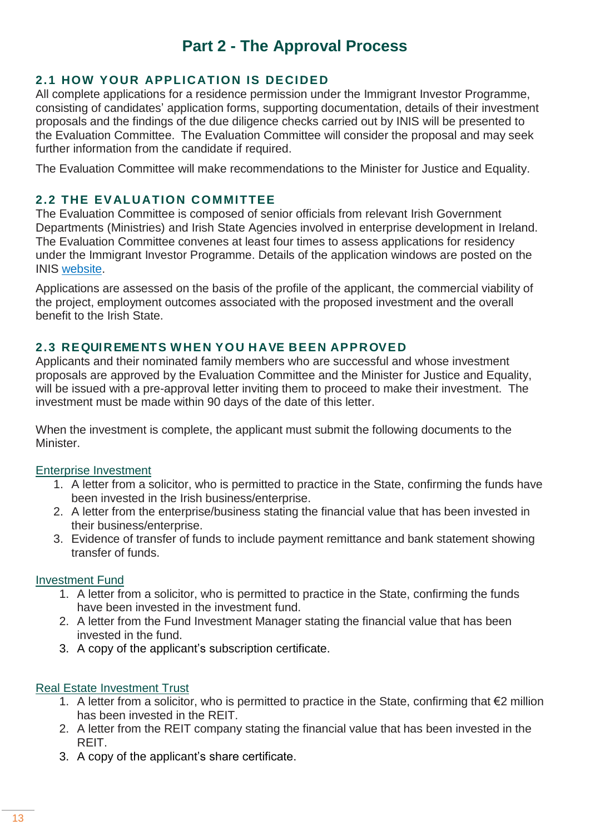## **Part 2 - The Approval Process**

#### **2.1 HOW YOUR APPLICATION IS DECIDED**

All complete applications for a residence permission under the Immigrant Investor Programme, consisting of candidates' application forms, supporting documentation, details of their investment proposals and the findings of the due diligence checks carried out by INIS will be presented to the Evaluation Committee. The Evaluation Committee will consider the proposal and may seek further information from the candidate if required.

The Evaluation Committee will make recommendations to the Minister for Justice and Equality.

#### **2.2 THE EV ALUATION COMMITTEE**

The Evaluation Committee is composed of senior officials from relevant Irish Government Departments (Ministries) and Irish State Agencies involved in enterprise development in Ireland. The Evaluation Committee convenes at least four times to assess applications for residency under the Immigrant Investor Programme. Details of the application windows are posted on the INIS website.

Applications are assessed on the basis of the profile of the applicant, the commercial viability of the project, employment outcomes associated with the proposed investment and the overall benefit to the Irish State.

#### **2.3 REQUIREMENTS WHEN YOU HAVE BEEN APPROVED**

Applicants and their nominated family members who are successful and whose investment proposals are approved by the Evaluation Committee and the Minister for Justice and Equality, will be issued with a pre-approval letter inviting them to proceed to make their investment. The investment must be made within 90 days of the date of this letter.

When the investment is complete, the applicant must submit the following documents to the **Minister** 

#### Enterprise Investment

- 1. A letter from a solicitor, who is permitted to practice in the State, confirming the funds have been invested in the Irish business/enterprise.
- 2. A letter from the enterprise/business stating the financial value that has been invested in their business/enterprise.
- 3. Evidence of transfer of funds to include payment remittance and bank statement showing transfer of funds.

#### Investment Fund

- 1. A letter from a solicitor, who is permitted to practice in the State, confirming the funds have been invested in the investment fund.
- 2. A letter from the Fund Investment Manager stating the financial value that has been invested in the fund.
- 3. A copy of the applicant's subscription certificate.

#### Real Estate Investment Trust

- 1. A letter from a solicitor, who is permitted to practice in the State, confirming that €2 million has been invested in the REIT.
- 2. A letter from the REIT company stating the financial value that has been invested in the REIT.
- 3. A copy of the applicant's share certificate.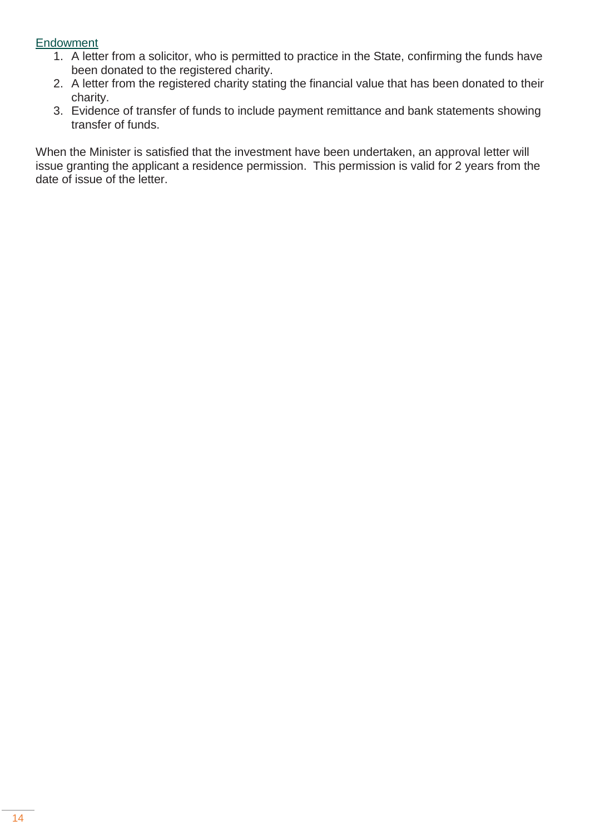#### **Endowment**

- 1. A letter from a solicitor, who is permitted to practice in the State, confirming the funds have been donated to the registered charity.
- 2. A letter from the registered charity stating the financial value that has been donated to their charity.
- 3. Evidence of transfer of funds to include payment remittance and bank statements showing transfer of funds.

When the Minister is satisfied that the investment have been undertaken, an approval letter will issue granting the applicant a residence permission. This permission is valid for 2 years from the date of issue of the letter.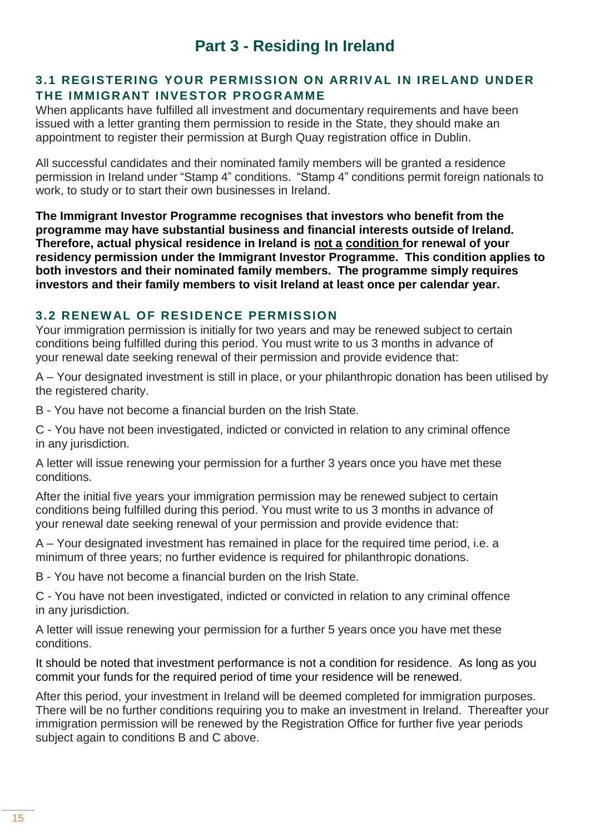### **Part 3 - Residing In Ireland**

#### **3.1 REGISTERING YOUR PERMISSION ON ARRIVAL IN IRELAND UNDER THE IMMIGRANT INVESTOR PROGRAMME**

When applicants have fulfilled all investment and documentary requirements and have been issued with a letter granting them permission to reside in the State, they should make an appointment to register their permission at Burgh Quay registration office in Dublin.

All successful candidates and their nominated family members will be granted a residence permission in Ireland under "Stamp 4" conditions. "Stamp 4" conditions permit foreign nationals to work, to study or to start their own businesses in Ireland.

**The Immigrant Investor Programme recognises that investors who benefit from the programme may have substantial business and financial interests outside of Ireland. Therefore, actual physical residence in Ireland is not a condition for renewal of your residency permission under the Immigrant Investor Programme. This condition applies to both investors and their nominated family members. The programme simply requires investors and their family members to visit Ireland at least once per calendar year.**

#### **3.2 RENEWAL OF RESIDENCE PERMISSION**

Your immigration permission is initially for two years and may be renewed subject to certain conditions being fulfilled during this period. You must write to us 3 months in advance of your renewal date seeking renewal of their permission and provide evidence that:

A – Your designated investment is still in place, or your philanthropic donation has been utilised by the registered charity.

B - You have not become a financial burden on the Irish State.

C - You have not been investigated, indicted or convicted in relation to any criminal offence in any jurisdiction.

A letter will issue renewing your permission for a further 3 years once you have met these conditions.

After the initial five years your immigration permission may be renewed subject to certain conditions being fulfilled during this period. You must write to us 3 months in advance of your renewal date seeking renewal of your permission and provide evidence that:

A – Your designated investment has remained in place for the required time period, i.e. a minimum of three years; no further evidence is required for philanthropic donations.

B - You have not become a financial burden on the Irish State.

C - You have not been investigated, indicted or convicted in relation to any criminal offence in any jurisdiction.

A letter will issue renewing your permission for a further 5 years once you have met these conditions.

It should be noted that investment performance is not a condition for residence. As long as you commit your funds for the required period of time your residence will be renewed.

After this period, your investment in Ireland will be deemed completed for immigration purposes. There will be no further conditions requiring you to make an investment in Ireland. Thereafter your immigration permission will be renewed by the Registration Office for further five year periods subject again to conditions B and C above.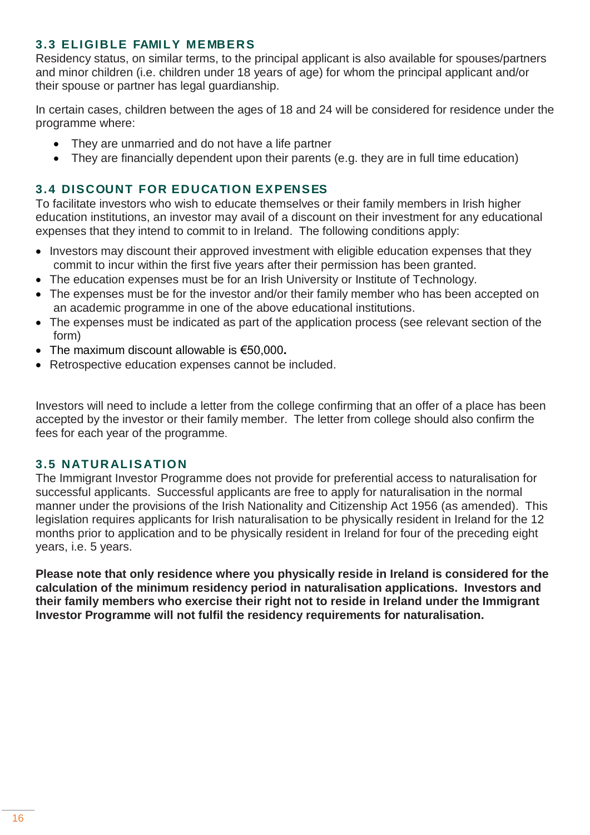#### **3.3 ELIGIBLE FAMILY ME MBERS**

Residency status, on similar terms, to the principal applicant is also available for spouses/partners and minor children (i.e. children under 18 years of age) for whom the principal applicant and/or their spouse or partner has legal guardianship.

In certain cases, children between the ages of 18 and 24 will be considered for residence under the programme where:

- They are unmarried and do not have a life partner
- They are financially dependent upon their parents (e.g. they are in full time education)

#### **3.4 DISCOUNT FOR EDUCATION EXPENSES**

To facilitate investors who wish to educate themselves or their family members in Irish higher education institutions, an investor may avail of a discount on their investment for any educational expenses that they intend to commit to in Ireland. The following conditions apply:

- Investors may discount their approved investment with eligible education expenses that they commit to incur within the first five years after their permission has been granted.
- The education expenses must be for an Irish University or Institute of Technology.
- The expenses must be for the investor and/or their family member who has been accepted on an academic programme in one of the above educational institutions.
- The expenses must be indicated as part of the application process (see relevant section of the form)
- The maximum discount allowable is €50,000**.**
- Retrospective education expenses cannot be included.

Investors will need to include a letter from the college confirming that an offer of a place has been accepted by the investor or their family member. The letter from college should also confirm the fees for each year of the programme.

#### **3.5 NATURALIS ATION**

The Immigrant Investor Programme does not provide for preferential access to naturalisation for successful applicants. Successful applicants are free to apply for naturalisation in the normal manner under the provisions of the Irish Nationality and Citizenship Act 1956 (as amended). This legislation requires applicants for Irish naturalisation to be physically resident in Ireland for the 12 months prior to application and to be physically resident in Ireland for four of the preceding eight years, i.e. 5 years.

**Please note that only residence where you physically reside in Ireland is considered for the calculation of the minimum residency period in naturalisation applications. Investors and their family members who exercise their right not to reside in Ireland under the Immigrant Investor Programme will not fulfil the residency requirements for naturalisation.**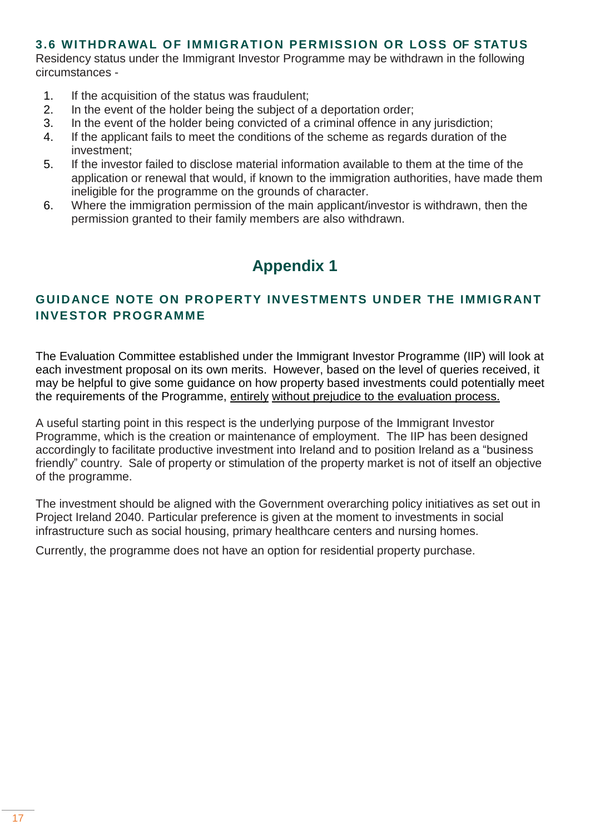#### **3.6 WITHDRAWAL OF IMMIGRATION PE RMISSION OR LOSS OF STATUS**

Residency status under the Immigrant Investor Programme may be withdrawn in the following circumstances -

- 1. If the acquisition of the status was fraudulent;
- 2. In the event of the holder being the subject of a deportation order;
- 3. In the event of the holder being convicted of a criminal offence in any jurisdiction;
- 4. If the applicant fails to meet the conditions of the scheme as regards duration of the investment;
- 5. If the investor failed to disclose material information available to them at the time of the application or renewal that would, if known to the immigration authorities, have made them ineligible for the programme on the grounds of character.
- 6. Where the immigration permission of the main applicant/investor is withdrawn, then the permission granted to their family members are also withdrawn.

## **Appendix 1**

#### **GUIDANCE NOTE ON PROPERTY INVESTMENTS UNDER THE IMMIGRANT INVESTOR PROGRAMME**

The Evaluation Committee established under the Immigrant Investor Programme (IIP) will look at each investment proposal on its own merits. However, based on the level of queries received, it may be helpful to give some guidance on how property based investments could potentially meet the requirements of the Programme, entirely without prejudice to the evaluation process.

A useful starting point in this respect is the underlying purpose of the Immigrant Investor Programme, which is the creation or maintenance of employment. The IIP has been designed accordingly to facilitate productive investment into Ireland and to position Ireland as a "business friendly" country. Sale of property or stimulation of the property market is not of itself an objective of the programme.

The investment should be aligned with the Government overarching policy initiatives as set out in Project Ireland 2040. Particular preference is given at the moment to investments in social infrastructure such as social housing, primary healthcare centers and nursing homes.

Currently, the programme does not have an option for residential property purchase.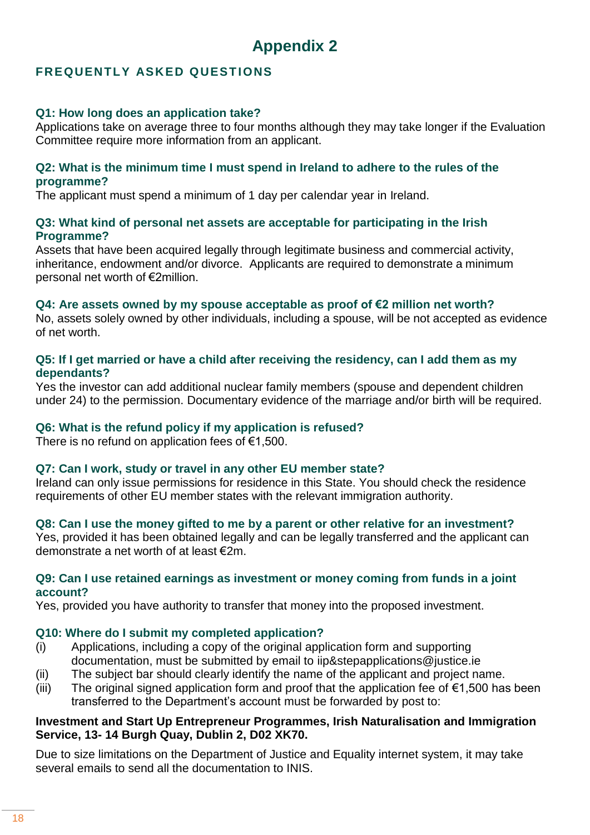#### **FREQUENTLY ASKED QUESTIONS**

#### **Q1: How long does an application take?**

Applications take on average three to four months although they may take longer if the Evaluation Committee require more information from an applicant.

#### **Q2: What is the minimum time I must spend in Ireland to adhere to the rules of the programme?**

The applicant must spend a minimum of 1 day per calendar year in Ireland.

#### **Q3: What kind of personal net assets are acceptable for participating in the Irish Programme?**

Assets that have been acquired legally through legitimate business and commercial activity, inheritance, endowment and/or divorce. Applicants are required to demonstrate a minimum personal net worth of €2million.

#### **Q4: Are assets owned by my spouse acceptable as proof of €2 million net worth?**

No, assets solely owned by other individuals, including a spouse, will be not accepted as evidence of net worth.

#### **Q5: If I get married or have a child after receiving the residency, can I add them as my dependants?**

Yes the investor can add additional nuclear family members (spouse and dependent children under 24) to the permission. Documentary evidence of the marriage and/or birth will be required.

#### **Q6: What is the refund policy if my application is refused?**

There is no refund on application fees of  $\epsilon$ 1,500.

#### **Q7: Can I work, study or travel in any other EU member state?**

Ireland can only issue permissions for residence in this State. You should check the residence requirements of other EU member states with the relevant immigration authority.

#### **Q8: Can I use the money gifted to me by a parent or other relative for an investment?**

Yes, provided it has been obtained legally and can be legally transferred and the applicant can demonstrate a net worth of at least €2m.

#### **Q9: Can I use retained earnings as investment or money coming from funds in a joint account?**

Yes, provided you have authority to transfer that money into the proposed investment.

#### **Q10: Where do I submit my completed application?**

- (i) Applications, including a copy of the original application form and supporting documentation, must be submitted by email to iip&stepapplications@justice.ie
- (ii) The subject bar should clearly identify the name of the applicant and project name.
- (iii) The original signed application form and proof that the application fee of  $\epsilon$ 1,500 has been transferred to the Department's account must be forwarded by post to:

#### **Investment and Start Up Entrepreneur Programmes, Irish Naturalisation and Immigration Service, 13- 14 Burgh Quay, Dublin 2, D02 XK70.**

Due to size limitations on the Department of Justice and Equality internet system, it may take several emails to send all the documentation to INIS.